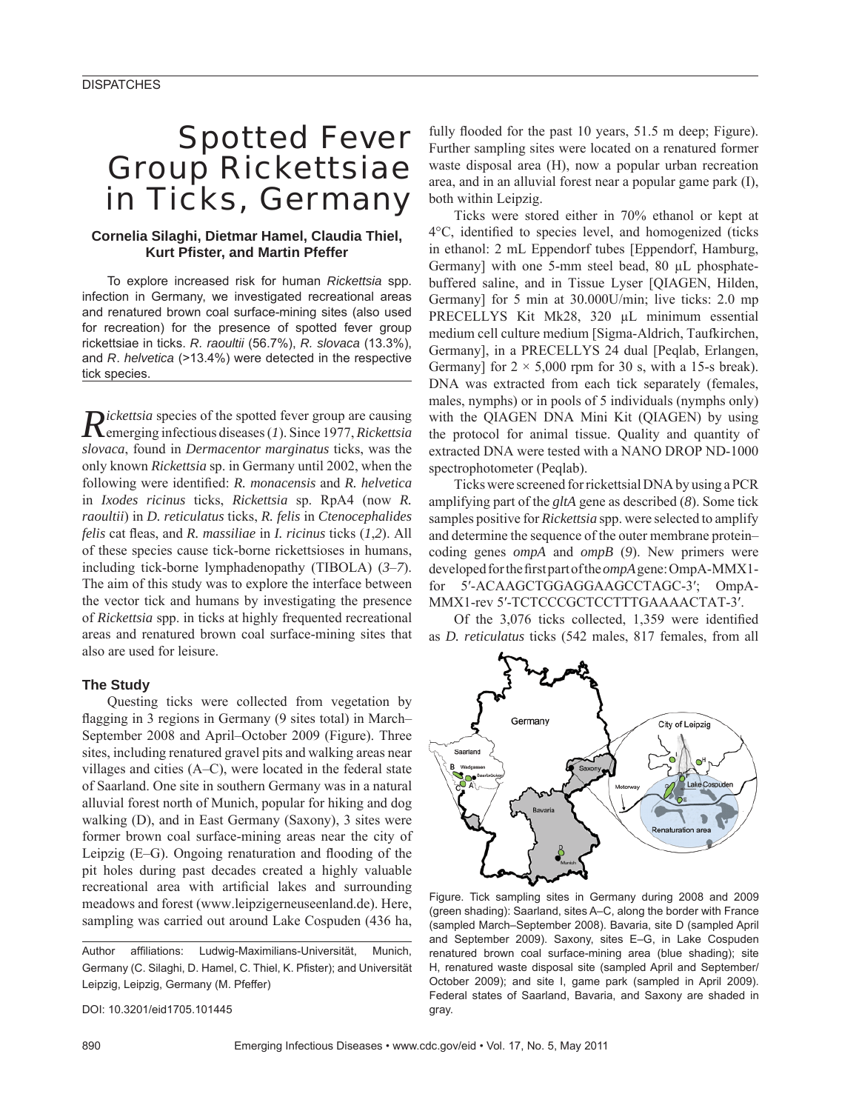# Spotted Fever Group Rickettsiae in Ticks, Germany

## **Cornelia Silaghi, Dietmar Hamel, Claudia Thiel, Kurt Pfister, and Martin Pfeffer**

To explore increased risk for human *Rickettsia* spp. infection in Germany, we investigated recreational areas and renatured brown coal surface-mining sites (also used for recreation) for the presence of spotted fever group rickettsiae in ticks. *R. raoultii* (56.7%), *R. slovaca* (13.3%), and *R*. *helvetica* (>13.4%) were detected in the respective tick species.

 $R$ ickettsia species of the spotted fever group are causing emerging infectious diseases (*1*). Since 1977, *Rickettsia slovaca*, found in *Dermacentor marginatus* ticks, was the only known *Rickettsia* sp. in Germany until 2002, when the following were identified: *R. monacensis* and *R. helvetica* in *Ixodes ricinus* ticks, *Rickettsia* sp. RpA4 (now *R. raoultii*) in *D. reticulatus* ticks, *R. felis* in *Ctenocephalides felis* cat fleas, and *R. massiliae* in *I. ricinus* ticks (1,2). All of these species cause tick-borne rickettsioses in humans, including tick-borne lymphadenopathy (TIBOLA) (*3*–*7*). The aim of this study was to explore the interface between the vector tick and humans by investigating the presence of *Rickettsia* spp. in ticks at highly frequented recreational areas and renatured brown coal surface-mining sites that also are used for leisure.

## **The Study**

Questing ticks were collected from vegetation by flagging in 3 regions in Germany (9 sites total) in March– September 2008 and April–October 2009 (Figure). Three sites, including renatured gravel pits and walking areas near villages and cities (A–C), were located in the federal state of Saarland. One site in southern Germany was in a natural alluvial forest north of Munich, popular for hiking and dog walking (D), and in East Germany (Saxony), 3 sites were former brown coal surface-mining areas near the city of Leipzig  $(E-G)$ . Ongoing renaturation and flooding of the pit holes during past decades created a highly valuable recreational area with artificial lakes and surrounding meadows and forest (www.leipzigerneuseenland.de). Here, sampling was carried out around Lake Cospuden (436 ha,

Author affiliations: Ludwig-Maximilians-Universität, Munich, Germany (C. Silaghi, D. Hamel, C. Thiel, K. Pfister); and Universität Leipzig, Leipzig, Germany (M. Pfeffer)

DOI: 10.3201/eid1705.101445

fully flooded for the past 10 years, 51.5 m deep; Figure). Further sampling sites were located on a renatured former waste disposal area (H), now a popular urban recreation area, and in an alluvial forest near a popular game park (I), both within Leipzig.

Ticks were stored either in 70% ethanol or kept at  $4^{\circ}$ C, identified to species level, and homogenized (ticks in ethanol: 2 mL Eppendorf tubes [Eppendorf, Hamburg, Germany] with one 5-mm steel bead, 80 μL phosphatebuffered saline, and in Tissue Lyser [QIAGEN, Hilden, Germany] for 5 min at 30.000U/min; live ticks: 2.0 mp PRECELLYS Kit Mk28, 320 μL minimum essential medium cell culture medium [Sigma-Aldrich, Taufkirchen, Germany], in a PRECELLYS 24 dual [Peqlab, Erlangen, Germany] for  $2 \times 5,000$  rpm for 30 s, with a 15-s break). DNA was extracted from each tick separately (females, males, nymphs) or in pools of 5 individuals (nymphs only) with the QIAGEN DNA Mini Kit (QIAGEN) by using the protocol for animal tissue. Quality and quantity of extracted DNA were tested with a NANO DROP ND-1000 spectrophotometer (Peqlab).

Ticks were screened for rickettsial DNA by using a PCR amplifying part of the *gltA* gene as described (*8*). Some tick samples positive for *Rickettsia* spp. were selected to amplify and determine the sequence of the outer membrane protein– coding genes *ompA* and *ompB* (*9*). New primers were developed for the first part of the *ompA* gene: OmpA-MMX1for 5′-ACAAGCTGGAGGAAGCCTAGC-3′; OmpA-MMX1-rev 5′-TCTCCCGCTCCTTTGAAAACTAT-3′.

Of the  $3,076$  ticks collected,  $1,359$  were identified as *D. reticulatus* ticks (542 males, 817 females, from all



Figure. Tick sampling sites in Germany during 2008 and 2009 (green shading): Saarland, sites A–C, along the border with France (sampled March–September 2008). Bavaria, site D (sampled April and September 2009). Saxony, sites E–G, in Lake Cospuden renatured brown coal surface-mining area (blue shading); site H, renatured waste disposal site (sampled April and September/ October 2009); and site I, game park (sampled in April 2009). Federal states of Saarland, Bavaria, and Saxony are shaded in gray.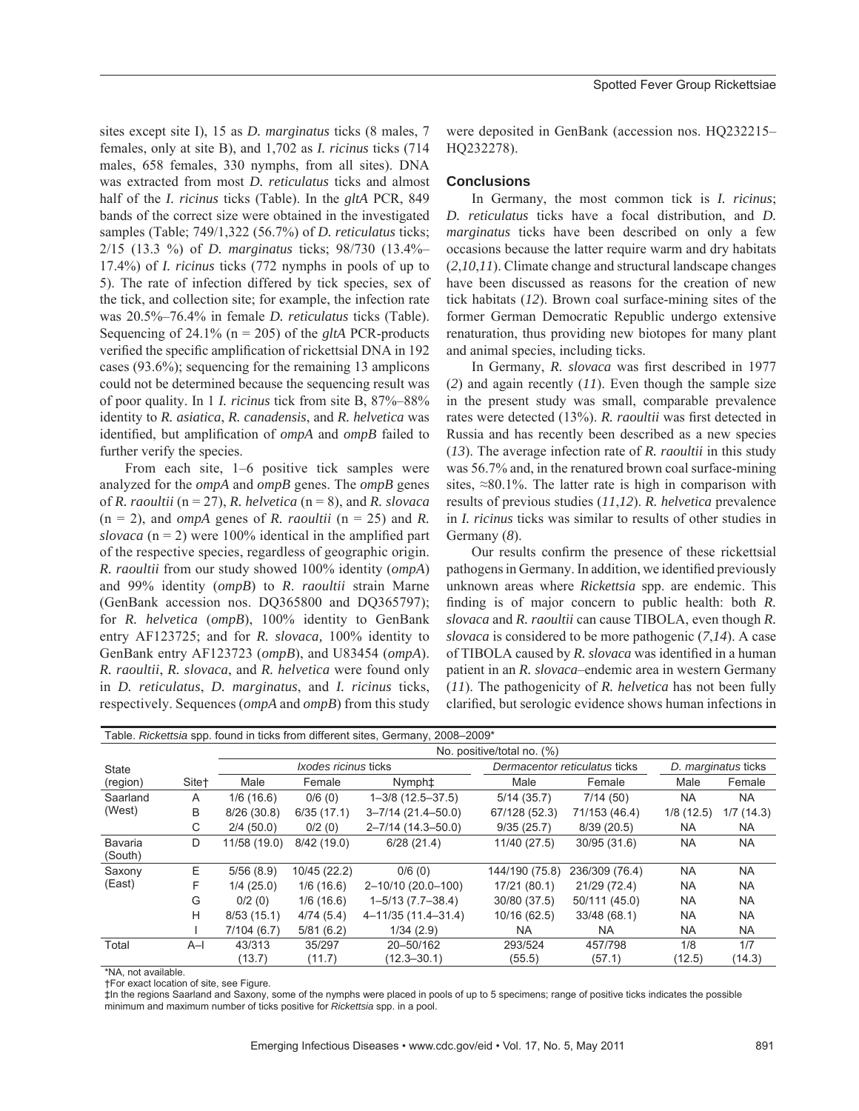sites except site I), 15 as *D. marginatus* ticks (8 males, 7 females, only at site B), and 1,702 as *I. ricinus* ticks (714 males, 658 females, 330 nymphs, from all sites). DNA was extracted from most *D. reticulatus* ticks and almost half of the *I. ricinus* ticks (Table). In the *gltA* PCR, 849 bands of the correct size were obtained in the investigated samples (Table; 749/1,322 (56.7%) of *D. reticulatus* ticks; 2/15 (13.3 %) of *D. marginatus* ticks; 98/730 (13.4%– 17.4%) of *I. ricinus* ticks (772 nymphs in pools of up to 5). The rate of infection differed by tick species, sex of the tick, and collection site; for example, the infection rate was 20.5%–76.4% in female *D. reticulatus* ticks (Table). Sequencing of 24.1% (n = 205) of the *gltA* PCR-products verified the specific amplification of rickettsial DNA in 192 cases (93.6%); sequencing for the remaining 13 amplicons could not be determined because the sequencing result was of poor quality. In 1 *I. ricinus* tick from site B, 87%–88% identity to *R. asiatica*, *R. canadensis*, and *R. helvetica* was identified, but amplification of *ompA* and *ompB* failed to further verify the species.

From each site, 1–6 positive tick samples were analyzed for the *ompA* and *ompB* genes. The *ompB* genes of *R. raoultii* (n = 27), *R. helvetica* (n = 8), and *R. slovaca*  $(n = 2)$ , and *ompA* genes of *R. raoultii*  $(n = 25)$  and *R.*  $slovaca$  ( $n = 2$ ) were 100% identical in the amplified part of the respective species, regardless of geographic origin. *R. raoultii* from our study showed 100% identity (*ompA*) and 99% identity (*ompB*) to *R*. *raoultii* strain Marne (GenBank accession nos. DQ365800 and DQ365797); for *R. helvetica* (*ompB*), 100% identity to GenBank entry AF123725; and for *R. slovaca,* 100% identity to GenBank entry AF123723 (*ompB*), and U83454 (*ompA*). *R. raoultii*, *R. slovaca*, and *R. helvetica* were found only in *D. reticulatus*, *D. marginatus*, and *I. ricinus* ticks, respectively. Sequences (*ompA* and *ompB*) from this study

were deposited in GenBank (accession nos. HQ232215– HQ232278).

### **Conclusions**

In Germany, the most common tick is *I. ricinus*; *D. reticulatus* ticks have a focal distribution, and *D. marginatus* ticks have been described on only a few occasions because the latter require warm and dry habitats (*2*,*10*,*11*). Climate change and structural landscape changes have been discussed as reasons for the creation of new tick habitats (*12*). Brown coal surface-mining sites of the former German Democratic Republic undergo extensive renaturation, thus providing new biotopes for many plant and animal species, including ticks.

In Germany, *R. slovaca* was first described in 1977 (*2*) and again recently (*11*). Even though the sample size in the present study was small, comparable prevalence rates were detected (13%). *R. raoultii* was first detected in Russia and has recently been described as a new species (*13*). The average infection rate of *R. raoultii* in this study was 56.7% and, in the renatured brown coal surface-mining sites,  $\approx 80.1\%$ . The latter rate is high in comparison with results of previous studies (*11*,*12*). *R. helvetica* prevalence in *I. ricinus* ticks was similar to results of other studies in Germany (*8*).

Our results confirm the presence of these rickettsial pathogens in Germany. In addition, we identified previously unknown areas where *Rickettsia* spp. are endemic. This finding is of major concern to public health: both *R*. *slovaca* and *R. raoultii* can cause TIBOLA, even though *R. slovaca* is considered to be more pathogenic (*7*,*14*). A case of TIBOLA caused by *R. slovaca* was identified in a human patient in an *R. slovaca*–endemic area in western Germany (*11*). The pathogenicity of *R. helvetica* has not been fully clarified, but serologic evidence shows human infections in

| Table. Rickettsia spp. found in ticks from different sites, Germany, 2008-2009* |                   |                            |              |                            |                               |                |                     |           |
|---------------------------------------------------------------------------------|-------------------|----------------------------|--------------|----------------------------|-------------------------------|----------------|---------------------|-----------|
|                                                                                 |                   | No. positive/total no. (%) |              |                            |                               |                |                     |           |
| State                                                                           |                   | Ixodes ricinus ticks       |              |                            | Dermacentor reticulatus ticks |                | D. marginatus ticks |           |
| (region)                                                                        | Site <sup>+</sup> | Male                       | Female       | Nymph‡                     | Male                          | Female         | Male                | Female    |
| Saarland<br>(West)                                                              | A                 | 1/6(16.6)                  | 0/6(0)       | $1 - 3/8$ (12.5 - 37.5)    | 5/14(35.7)                    | 7/14(50)       | <b>NA</b>           | <b>NA</b> |
|                                                                                 | B                 | 8/26(30.8)                 | 6/35(17.1)   | $3 - 7/14$ (21.4 $-50.0$ ) | 67/128 (52.3)                 | 71/153 (46.4)  | 1/8(12.5)           | 1/7(14.3) |
|                                                                                 | С                 | 2/4(50.0)                  | 0/2(0)       | $2 - 7/14$ (14.3-50.0)     | 9/35(25.7)                    | 8/39(20.5)     | NA                  | <b>NA</b> |
| Bavaria<br>(South)                                                              | D                 | 11/58 (19.0)               | 8/42(19.0)   | 6/28(21.4)                 | 11/40 (27.5)                  | 30/95 (31.6)   | <b>NA</b>           | <b>NA</b> |
| Saxony<br>(East)                                                                | E                 | 5/56(8.9)                  | 10/45 (22.2) | 0/6(0)                     | 144/190 (75.8)                | 236/309 (76.4) | <b>NA</b>           | <b>NA</b> |
|                                                                                 | F                 | 1/4(25.0)                  | 1/6(16.6)    | 2-10/10 (20.0-100)         | 17/21 (80.1)                  | 21/29 (72.4)   | <b>NA</b>           | <b>NA</b> |
|                                                                                 | G                 | 0/2(0)                     | 1/6(16.6)    | $1 - 5/13(7.7 - 38.4)$     | 30/80 (37.5)                  | 50/111 (45.0)  | <b>NA</b>           | <b>NA</b> |
|                                                                                 | H                 | 8/53(15.1)                 | 4/74(5.4)    | 4-11/35 (11.4-31.4)        | 10/16 (62.5)                  | 33/48 (68.1)   | <b>NA</b>           | <b>NA</b> |
|                                                                                 |                   | 7/104(6.7)                 | 5/81(6.2)    | 1/34(2.9)                  | <b>NA</b>                     | <b>NA</b>      | <b>NA</b>           | <b>NA</b> |
| Total                                                                           | $A-I$             | 43/313                     | 35/297       | 20-50/162                  | 293/524                       | 457/798        | 1/8                 | 1/7       |
|                                                                                 |                   | (13.7)                     | (11.7)       | $(12.3 - 30.1)$            | (55.5)                        | (57.1)         | (12.5)              | (14.3)    |

\*NA, not available.

†For exact location of site, see Figure.

‡In the regions Saarland and Saxony, some of the nymphs were placed in pools of up to 5 specimens; range of positive ticks indicates the possible minimum and maximum number of ticks positive for *Rickettsia* spp. in a pool.